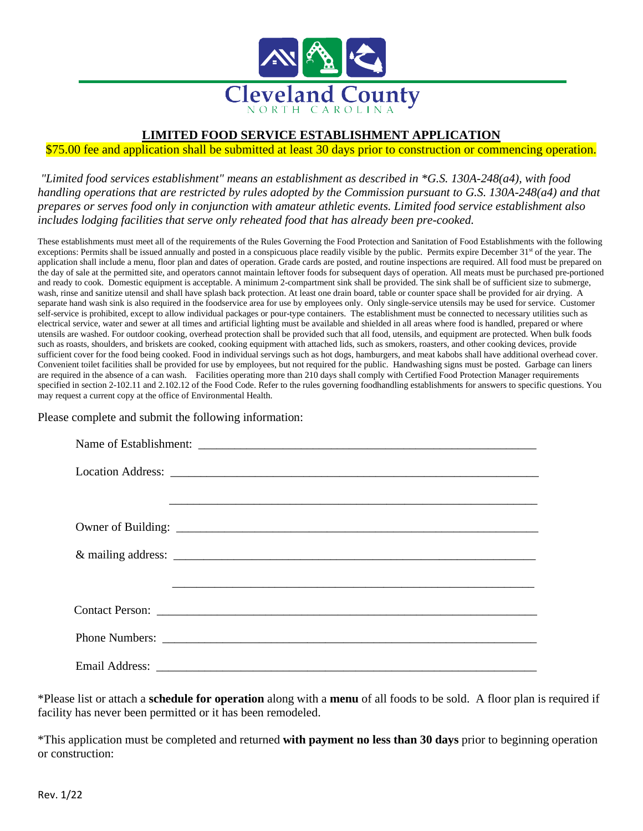

### **LIMITED FOOD SERVICE ESTABLISHMENT APPLICATION**

### \$75.00 fee and application shall be submitted at least 30 days prior to construction or commencing operation.

*"Limited food services establishment" means an establishment as described in \*G.S. 130A-248(a4), with food handling operations that are restricted by rules adopted by the Commission pursuant to G.S. 130A-248(a4) and that prepares or serves food only in conjunction with amateur athletic events. Limited food service establishment also includes lodging facilities that serve only reheated food that has already been pre-cooked.*

These establishments must meet all of the requirements of the Rules Governing the Food Protection and Sanitation of Food Establishments with the following exceptions: Permits shall be issued annually and posted in a conspicuous place readily visible by the public. Permits expire December 31<sup>st</sup> of the year. The application shall include a menu, floor plan and dates of operation. Grade cards are posted, and routine inspections are required. All food must be prepared on the day of sale at the permitted site, and operators cannot maintain leftover foods for subsequent days of operation. All meats must be purchased pre-portioned and ready to cook. Domestic equipment is acceptable. A minimum 2-compartment sink shall be provided. The sink shall be of sufficient size to submerge, wash, rinse and sanitize utensil and shall have splash back protection. At least one drain board, table or counter space shall be provided for air drying. A separate hand wash sink is also required in the foodservice area for use by employees only. Only single-service utensils may be used for service. Customer self-service is prohibited, except to allow individual packages or pour-type containers. The establishment must be connected to necessary utilities such as electrical service, water and sewer at all times and artificial lighting must be available and shielded in all areas where food is handled, prepared or where utensils are washed. For outdoor cooking, overhead protection shall be provided such that all food, utensils, and equipment are protected. When bulk foods such as roasts, shoulders, and briskets are cooked, cooking equipment with attached lids, such as smokers, roasters, and other cooking devices, provide sufficient cover for the food being cooked. Food in individual servings such as hot dogs, hamburgers, and meat kabobs shall have additional overhead cover. Convenient toilet facilities shall be provided for use by employees, but not required for the public. Handwashing signs must be posted. Garbage can liners are required in the absence of a can wash. Facilities operating more than 210 days shall comply with Certified Food Protection Manager requirements specified in section 2-102.11 and 2.102.12 of the Food Code. Refer to the rules governing foodhandling establishments for answers to specific questions. You may request a current copy at the office of Environmental Health.

#### Please complete and submit the following information:

\*Please list or attach a **schedule for operation** along with a **menu** of all foods to be sold. A floor plan is required if facility has never been permitted or it has been remodeled.

\*This application must be completed and returned **with payment no less than 30 days** prior to beginning operation or construction: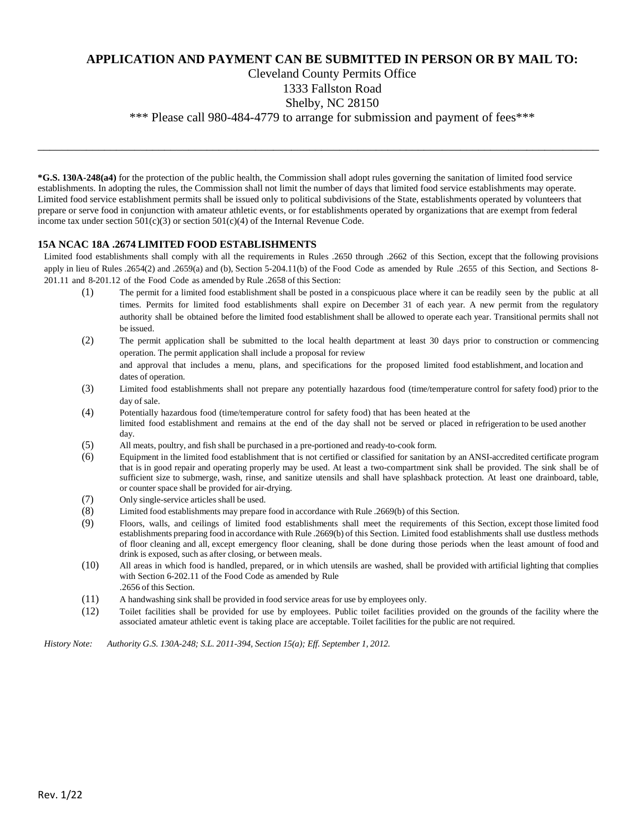## **APPLICATION AND PAYMENT CAN BE SUBMITTED IN PERSON OR BY MAIL TO:**

## Cleveland County Permits Office

### 1333 Fallston Road

#### Shelby, NC 28150

\_\_\_\_\_\_\_\_\_\_\_\_\_\_\_\_\_\_\_\_\_\_\_\_\_\_\_\_\_\_\_\_\_\_\_\_\_\_\_\_\_\_\_\_\_\_\_\_\_\_\_\_\_\_\_\_\_\_\_\_\_\_\_\_\_\_\_\_\_\_\_\_\_\_\_\_\_\_\_\_\_\_\_\_\_\_\_\_\_\_\_\_\_

\*\*\* Please call 980-484-4779 to arrange for submission and payment of fees\*\*\*

**\*G.S. 130A-248(a4)** for the protection of the public health, the Commission shall adopt rules governing the sanitation of limited food service establishments. In adopting the rules, the Commission shall not limit the number of days that limited food service establishments may operate. Limited food service establishment permits shall be issued only to political subdivisions of the State, establishments operated by volunteers that prepare or serve food in conjunction with amateur athletic events, or for establishments operated by organizations that are exempt from federal income tax under section  $501(c)(3)$  or section  $501(c)(4)$  of the Internal Revenue Code.

#### **15A NCAC 18A .2674 LIMITED FOOD ESTABLISHMENTS**

Limited food establishments shall comply with all the requirements in Rules .2650 through .2662 of this Section, except that the following provisions apply in lieu of Rules .2654(2) and .2659(a) and (b), Section 5-204.11(b) of the Food Code as amended by Rule .2655 of this Section, and Sections 8- 201.11 and 8-201.12 of the Food Code as amended by Rule .2658 of this Section:

- (1) The permit for a limited food establishment shall be posted in a conspicuous place where it can be readily seen by the public at all times. Permits for limited food establishments shall expire on December 31 of each year. A new permit from the regulatory authority shall be obtained before the limited food establishment shall be allowed to operate each year. Transitional permits shall not be issued.
- (2) The permit application shall be submitted to the local health department at least 30 days prior to construction or commencing operation. The permit application shall include a proposal for review and approval that includes a menu, plans, and specifications for the proposed limited food establishment, and location and dates of operation.
- (3) Limited food establishments shall not prepare any potentially hazardous food (time/temperature control for safety food) prior to the day of sale.
- (4) Potentially hazardous food (time/temperature control for safety food) that has been heated at the limited food establishment and remains at the end of the day shall not be served or placed in refrigeration to be used another day.
- (5) All meats, poultry, and fish shall be purchased in a pre-portioned and ready-to-cook form.
- (6) Equipment in the limited food establishment that is not certified or classified for sanitation by an ANSI-accredited certificate program that is in good repair and operating properly may be used. At least a two-compartment sink shall be provided. The sink shall be of sufficient size to submerge, wash, rinse, and sanitize utensils and shall have splashback protection. At least one drainboard, table, or counter space shall be provided for air-drying.
- (7) Only single-service articles shall be used.
- (8) Limited food establishments may prepare food in accordance with Rule .2669(b) of this Section.
- (9) Floors, walls, and ceilings of limited food establishments shall meet the requirements of this Section, except those limited food establishments preparing food in accordance with Rule .2669(b) of this Section. Limited food establishments shall use dustless methods of floor cleaning and all, except emergency floor cleaning, shall be done during those periods when the least amount of food and drink is exposed, such as after closing, or between meals.
- (10) All areas in which food is handled, prepared, or in which utensils are washed, shall be provided with artificial lighting that complies with Section 6-202.11 of the Food Code as amended by Rule .2656 of this Section.
- (11) A handwashing sink shall be provided in food service areas for use by employees only.
- (12) Toilet facilities shall be provided for use by employees. Public toilet facilities provided on the grounds of the facility where the associated amateur athletic event is taking place are acceptable. Toilet facilities for the public are not required.

*History Note: Authority G.S. 130A-248; S.L. 2011-394, Section 15(a); Eff. September 1, 2012.*